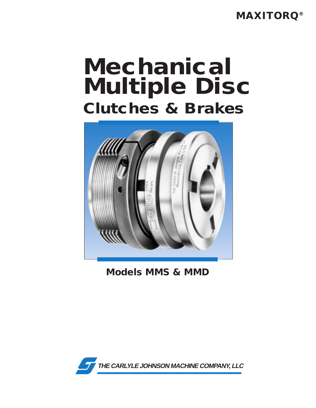**MAXITORQ®**

# **Mechanical Multiple Disc Clutches & Brakes**



**Models MMS & MMD**

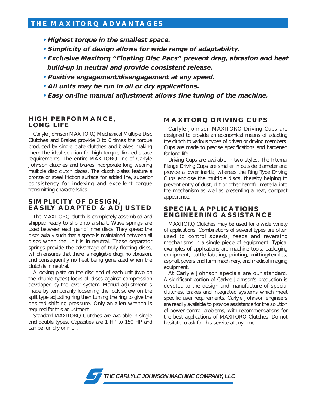### **THE MAXITORQ ADVANTAGES**

- **Highest torque in the smallest space.**
- **Simplicity of design allows for wide range of adaptability.**
- **Exclusive Maxitorq "Floating Disc Pacs" prevent drag, abrasion and heat build-up in neutral and provide consistent release.**
- **Positive engagement/disengagement at any speed.**
- **All units may be run in oil or dry applications.**
- **Easy on-line manual adjustment allows fine tuning of the machine.**

#### **HIGH PERFORMANCE, LONG LIFE**

Carlyle Johnson MAXITORQ Mechanical Multiple Disc Clutches and Brakes provide 3 to 6 times the torque produced by single plate clutches and brakes making them the ideal solution for high torque, limited space requirements. The entire MAXITORQ line of Carlyle Johnson clutches and brakes incorporate long wearing multiple disc clutch plates. The clutch plates feature a bronze or steel friction surface for added life, superior consistency for indexing and excellent torque transmitting characteristics.

#### **SIMPLICITY OF DESIGN, EASILY ADAPTED & ADJUSTED**

The MAXITORQ clutch is completely assembled and shipped ready to slip onto a shaft. Wave springs are used between each pair of inner discs. They spread the discs axially such that a space is maintained between all discs when the unit is in neutral. These separator springs provide the advantage of truly floating discs, which ensures that there is negligible drag, no abrasion, and consequently no heat being generated when the clutch is in neutral.

A locking plate on the disc end of each unit (two on the double types) locks all discs against compression developed by the lever system. Manual adjustment is made by temporarily loosening the lock screw on the split type adjusting ring then turning the ring to give the desired shifting pressure. Only an allen wrench is required for this adjustment

Standard MAXITORQ Clutches are available in single and double types. Capacities are 1 HP to 150 HP and can be run dry or in oil.

## **MAXITORQ DRIVING CUPS**

Carlyle Johnson MAXITORQ Driving Cups are designed to provide an economical means of adapting the clutch to various types of driven or driving members. Cups are made to precise specifications and hardened for long life.

Driving Cups are available in two styles. The Internal Flange Driving Cups are smaller in outside diameter and provide a lower inertia, whereas the Ring Type Driving Cups enclose the multiple discs, thereby helping to prevent entry of dust, dirt or other harmful material into the mechanism as well as presenting a neat, compact appearance.

#### **SPECIAL APPLICATIONS ENGINEERING ASSISTANCE**

MAXITORQ Clutches may be used for a wide variety of applications. Combinations of several types are often used to control speeds, feeds and reversing mechanisms in a single piece of equipment. Typical examples of applications are machine tools, packaging equipment, bottle labeling, printing, knitting/textiles, asphalt pavers and farm machinery, and medical imaging equipment.

At Carlyle Johnson specials are our standard. A significant portion of Carlyle Johnson's production is devoted to the design and manufacture of special clutches, brakes and integrated systems which meet specific user requirements. Carlyle Johnson engineers are readily available to provide assistance for the solution of power control problems, with recommendations for the best applications of MAXITORQ Clutches. Do not hesitate to ask for this service at any time.

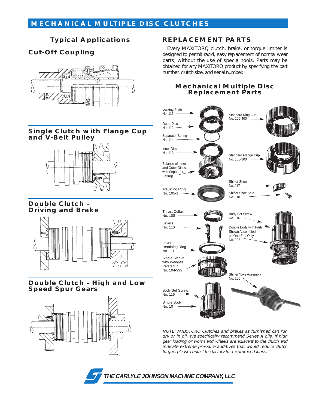## **MECHANICAL MULTIPLE DISC CLUTCHES**

## **Typical Applications**

## **Cut-Off Coupling**



#### **Single Clutch with Flange Cup and V-Belt Pulley**



#### **Double Clutch – Driving and Brake**



#### **Double Clutch – High and Low Speed Spur Gears**



## **REPLACEMENT PARTS**

Every MAXITORQ clutch, brake, or torque limiter is designed to permit rapid, easy replacement of normal wear parts, without the use of special tools. Parts may be obtained for any MAXITORQ product by specifying the part number, clutch size, and serial number.

#### **Mechanical Multiple Disc Replacement Parts**



NOTE: MAXITORQ Clutches and brakes as furnished can run dry or in oil. We specifically recommend Series A oils. If high gear loading or worm and wheels are adjacent to the clutch and indicate extreme pressure additives that would reduce clutch torque, please contact the factory for recommendations.